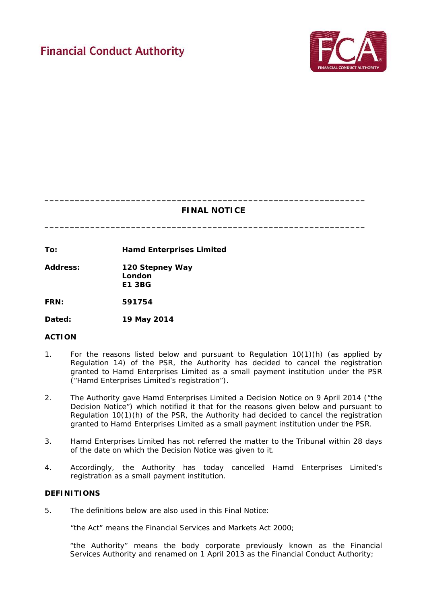# **Financial Conduct Authority**



# **FINAL NOTICE**

**\_\_\_\_\_\_\_\_\_\_\_\_\_\_\_\_\_\_\_\_\_\_\_\_\_\_\_\_\_\_\_\_\_\_\_\_\_\_\_\_\_\_\_\_\_\_\_\_\_\_\_\_\_\_\_\_\_\_\_\_\_\_\_**

**\_\_\_\_\_\_\_\_\_\_\_\_\_\_\_\_\_\_\_\_\_\_\_\_\_\_\_\_\_\_\_\_\_\_\_\_\_\_\_\_\_\_\_\_\_\_\_\_\_\_\_\_\_\_\_\_\_\_\_\_\_\_\_**

**To: Hamd Enterprises Limited**

**Address: 120 Stepney Way London E1 3BG**

**FRN: 591754**

**Dated: 19 May 2014**

# **ACTION**

- 1. For the reasons listed below and pursuant to Regulation 10(1)(h) (as applied by Regulation 14) of the PSR, the Authority has decided to cancel the registration granted to Hamd Enterprises Limited as a small payment institution under the PSR ("Hamd Enterprises Limited's registration").
- 2. The Authority gave Hamd Enterprises Limited a Decision Notice on 9 April 2014 ("the Decision Notice") which notified it that for the reasons given below and pursuant to Regulation 10(1)(h) of the PSR, the Authority had decided to cancel the registration granted to Hamd Enterprises Limited as a small payment institution under the PSR.
- 3. Hamd Enterprises Limited has not referred the matter to the Tribunal within 28 days of the date on which the Decision Notice was given to it.
- 4. Accordingly, the Authority has today cancelled Hamd Enterprises Limited's registration as a small payment institution.

# **DEFINITIONS**

5. The definitions below are also used in this Final Notice:

"the Act" means the Financial Services and Markets Act 2000;

"the Authority" means the body corporate previously known as the Financial Services Authority and renamed on 1 April 2013 as the Financial Conduct Authority;